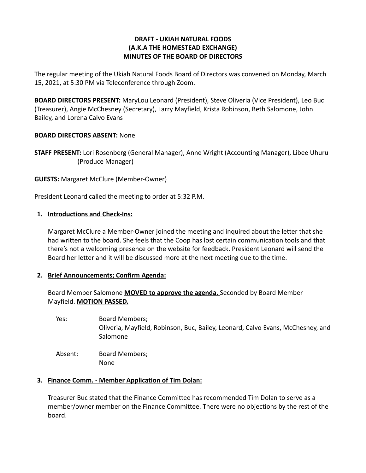## **DRAFT - UKIAH NATURAL FOODS (A.K.A THE HOMESTEAD EXCHANGE) MINUTES OF THE BOARD OF DIRECTORS**

The regular meeting of the Ukiah Natural Foods Board of Directors was convened on Monday, March 15, 2021, at 5:30 PM via Teleconference through Zoom.

**BOARD DIRECTORS PRESENT:** MaryLou Leonard (President), Steve Oliveria (Vice President), Leo Buc (Treasurer), Angie McChesney (Secretary), Larry Mayfield, Krista Robinson, Beth Salomone, John Bailey, and Lorena Calvo Evans

## **BOARD DIRECTORS ABSENT:** None

**STAFF PRESENT:** Lori Rosenberg (General Manager), Anne Wright (Accounting Manager), Libee Uhuru (Produce Manager)

**GUESTS:** Margaret McClure (Member-Owner)

President Leonard called the meeting to order at 5:32 P.M.

## **1. Introductions and Check-Ins:**

Margaret McClure a Member-Owner joined the meeting and inquired about the letter that she had written to the board. She feels that the Coop has lost certain communication tools and that there's not a welcoming presence on the website for feedback. President Leonard will send the Board her letter and it will be discussed more at the next meeting due to the time.

# **2. Brief Announcements; Confirm Agenda:**

Board Member Salomone **MOVED to approve the agenda.** Seconded by Board Member Mayfield. **MOTION PASSED.**

Yes: Board Members; Oliveria, Mayfield, Robinson, Buc, Bailey, Leonard, Calvo Evans, McChesney, and Salomone Absent: Board Members;

None

# **3. Finance Comm. - Member Application of Tim Dolan:**

Treasurer Buc stated that the Finance Committee has recommended Tim Dolan to serve as a member/owner member on the Finance Committee. There were no objections by the rest of the board.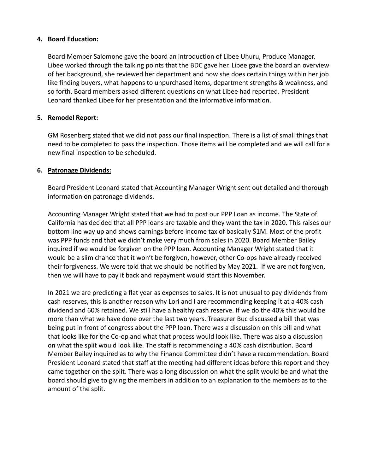### **4. Board Education:**

Board Member Salomone gave the board an introduction of Libee Uhuru, Produce Manager. Libee worked through the talking points that the BDC gave her. Libee gave the board an overview of her background, she reviewed her department and how she does certain things within her job like finding buyers, what happens to unpurchased items, department strengths & weakness, and so forth. Board members asked different questions on what Libee had reported. President Leonard thanked Libee for her presentation and the informative information.

## **5. Remodel Report:**

GM Rosenberg stated that we did not pass our final inspection. There is a list of small things that need to be completed to pass the inspection. Those items will be completed and we will call for a new final inspection to be scheduled.

#### **6. Patronage Dividends:**

Board President Leonard stated that Accounting Manager Wright sent out detailed and thorough information on patronage dividends.

Accounting Manager Wright stated that we had to post our PPP Loan as income. The State of California has decided that all PPP loans are taxable and they want the tax in 2020. This raises our bottom line way up and shows earnings before income tax of basically \$1M. Most of the profit was PPP funds and that we didn't make very much from sales in 2020. Board Member Bailey inquired if we would be forgiven on the PPP loan. Accounting Manager Wright stated that it would be a slim chance that it won't be forgiven, however, other Co-ops have already received their forgiveness. We were told that we should be notified by May 2021. If we are not forgiven, then we will have to pay it back and repayment would start this November.

In 2021 we are predicting a flat year as expenses to sales. It is not unusual to pay dividends from cash reserves, this is another reason why Lori and I are recommending keeping it at a 40% cash dividend and 60% retained. We still have a healthy cash reserve. If we do the 40% this would be more than what we have done over the last two years. Treasurer Buc discussed a bill that was being put in front of congress about the PPP loan. There was a discussion on this bill and what that looks like for the Co-op and what that process would look like. There was also a discussion on what the split would look like. The staff is recommending a 40% cash distribution. Board Member Bailey inquired as to why the Finance Committee didn't have a recommendation. Board President Leonard stated that staff at the meeting had different ideas before this report and they came together on the split. There was a long discussion on what the split would be and what the board should give to giving the members in addition to an explanation to the members as to the amount of the split.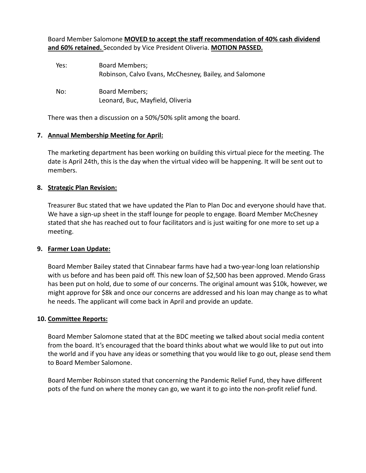Board Member Salomone **MOVED to accept the staff recommendation of 40% cash dividend and 60% retained.** Seconded by Vice President Oliveria. **MOTION PASSED.**

| Yes: | <b>Board Members;</b><br>Robinson, Calvo Evans, McChesney, Bailey, and Salomone |
|------|---------------------------------------------------------------------------------|
| No:  | <b>Board Members;</b><br>Leonard, Buc, Mayfield, Oliveria                       |

There was then a discussion on a 50%/50% split among the board.

## **7. Annual Membership Meeting for April:**

The marketing department has been working on building this virtual piece for the meeting. The date is April 24th, this is the day when the virtual video will be happening. It will be sent out to members.

## **8. Strategic Plan Revision:**

Treasurer Buc stated that we have updated the Plan to Plan Doc and everyone should have that. We have a sign-up sheet in the staff lounge for people to engage. Board Member McChesney stated that she has reached out to four facilitators and is just waiting for one more to set up a meeting.

#### **9. Farmer Loan Update:**

Board Member Bailey stated that Cinnabear farms have had a two-year-long loan relationship with us before and has been paid off. This new loan of \$2,500 has been approved. Mendo Grass has been put on hold, due to some of our concerns. The original amount was \$10k, however, we might approve for \$8k and once our concerns are addressed and his loan may change as to what he needs. The applicant will come back in April and provide an update.

#### **10. Committee Reports:**

Board Member Salomone stated that at the BDC meeting we talked about social media content from the board. It's encouraged that the board thinks about what we would like to put out into the world and if you have any ideas or something that you would like to go out, please send them to Board Member Salomone.

Board Member Robinson stated that concerning the Pandemic Relief Fund, they have different pots of the fund on where the money can go, we want it to go into the non-profit relief fund.